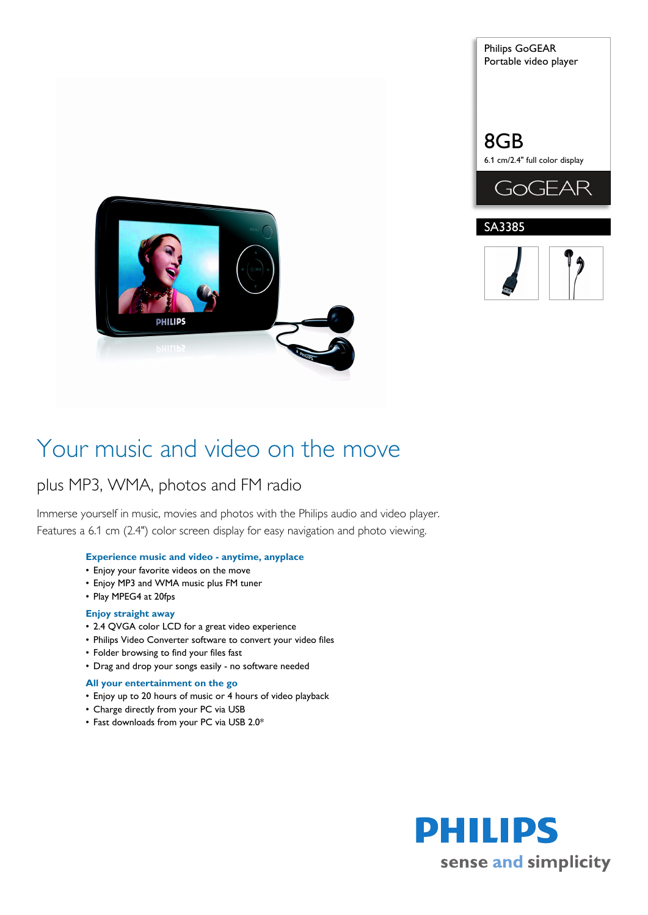



## Your music and video on the move

### plus MP3, WMA, photos and FM radio

Immerse yourself in music, movies and photos with the Philips audio and video player. Features a 6.1 cm (2.4") color screen display for easy navigation and photo viewing.

#### **Experience music and video - anytime, anyplace**

- Enjoy your favorite videos on the move
- Enjoy MP3 and WMA music plus FM tuner
- Play MPEG4 at 20fps

#### **Enjoy straight away**

- 2.4 QVGA color LCD for a great video experience
- Philips Video Converter software to convert your video files
- Folder browsing to find your files fast
- Drag and drop your songs easily no software needed

#### **All your entertainment on the go**

- Enjoy up to 20 hours of music or 4 hours of video playback
- Charge directly from your PC via USB
- Fast downloads from your PC via USB 2.0\*